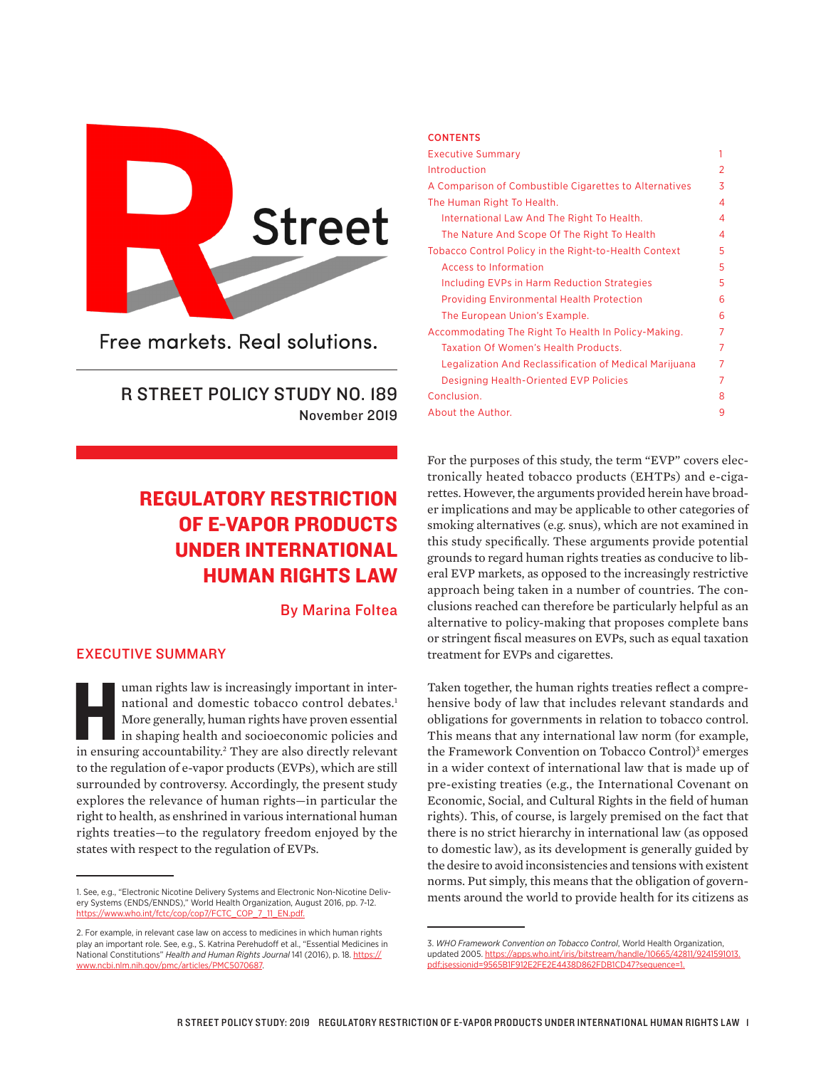

Free markets. Real solutions.

R STREET POLICY STUDY NO. 189 November 2019

# REGULATORY RESTRICTION OF E-VAPOR PRODUCTS UNDER INTERNATIONAL HUMAN RIGHTS LAW

By Marina Foltea

# EXECUTIVE SUMMARY

uman rights law is increasingly important in inter-<br>
national and domestic tobacco control debates.<sup>1</sup><br>
More generally, human rights have proven essential<br>
in shaping health and socioeconomic policies and<br>
in ensuring acco national and domestic tobacco control debates.<sup>1</sup> More generally, human rights have proven essential in shaping health and socioeconomic policies and to the regulation of e-vapor products (EVPs), which are still surrounded by controversy. Accordingly, the present study explores the relevance of human rights—in particular the right to health, as enshrined in various international human rights treaties—to the regulatory freedom enjoyed by the states with respect to the regulation of EVPs.

#### CONTENTS

| <b>Executive Summary</b>                               | 1 |
|--------------------------------------------------------|---|
| Introduction                                           | 2 |
| A Comparison of Combustible Cigarettes to Alternatives | 3 |
| The Human Right To Health.                             | 4 |
| International Law And The Right To Health.             | 4 |
| The Nature And Scope Of The Right To Health            | 4 |
| Tobacco Control Policy in the Right-to-Health Context  | 5 |
| Access to Information                                  | 5 |
| Including EVPs in Harm Reduction Strategies            | 5 |
| <b>Providing Environmental Health Protection</b>       | 6 |
| The European Union's Example.                          | 6 |
| Accommodating The Right To Health In Policy-Making.    | 7 |
| Taxation Of Women's Health Products.                   | 7 |
| Legalization And Reclassification of Medical Marijuana | 7 |
| Designing Health-Oriented EVP Policies                 | 7 |
| Conclusion.                                            | 8 |
| About the Author.                                      | 9 |

For the purposes of this study, the term "EVP" covers electronically heated tobacco products (EHTPs) and e-cigarettes. However, the arguments provided herein have broader implications and may be applicable to other categories of smoking alternatives (e.g. snus), which are not examined in this study specifically. These arguments provide potential grounds to regard human rights treaties as conducive to liberal EVP markets, as opposed to the increasingly restrictive approach being taken in a number of countries. The conclusions reached can therefore be particularly helpful as an alternative to policy-making that proposes complete bans or stringent fiscal measures on EVPs, such as equal taxation treatment for EVPs and cigarettes.

Taken together, the human rights treaties reflect a comprehensive body of law that includes relevant standards and obligations for governments in relation to tobacco control. This means that any international law norm (for example, the Framework Convention on Tobacco Control)<sup>3</sup> emerges in a wider context of international law that is made up of pre-existing treaties (e.g., the International Covenant on Economic, Social, and Cultural Rights in the field of human rights). This, of course, is largely premised on the fact that there is no strict hierarchy in international law (as opposed to domestic law), as its development is generally guided by the desire to avoid inconsistencies and tensions with existent norms. Put simply, this means that the obligation of governments around the world to provide health for its citizens as

<sup>1.</sup> See, e.g., "Electronic Nicotine Delivery Systems and Electronic Non-Nicotine Delivery Systems (ENDS/ENNDS)," World Health Organization, August 2016, pp. 7-12. [https://www.who.int/fctc/cop/cop7/FCTC\\_COP\\_7\\_11\\_EN.pdf.](https://www.who.int/fctc/cop/cop7/FCTC_COP_7_11_EN.pdf)

<sup>2.</sup> For example, in relevant case law on access to medicines in which human rights play an important role. See, e.g., S. Katrina Perehudoff et al., "Essential Medicines in National Constitutions" *Health and Human Rights Journal* 141 (2016), p. 18. [https://](https://www.ncbi.nlm.nih.gov/pmc/articles/PMC5070687) [www.ncbi.nlm.nih.gov/pmc/articles/PMC5070687.](https://www.ncbi.nlm.nih.gov/pmc/articles/PMC5070687)

<sup>3.</sup> *WHO Framework Convention on Tobacco Control*, World Health Organization, updated 2005. [https://apps.who.int/iris/bitstream/handle/10665/42811/9241591013.](https://apps.who.int/iris/bitstream/handle/10665/42811/9241591013.pdf;jsessionid=9565B1F912E2FE2E4438D862FDB1CD47?sequence=1) [pdf;jsessionid=9565B1F912E2FE2E4438D862FDB1CD47?sequence=1](https://apps.who.int/iris/bitstream/handle/10665/42811/9241591013.pdf;jsessionid=9565B1F912E2FE2E4438D862FDB1CD47?sequence=1).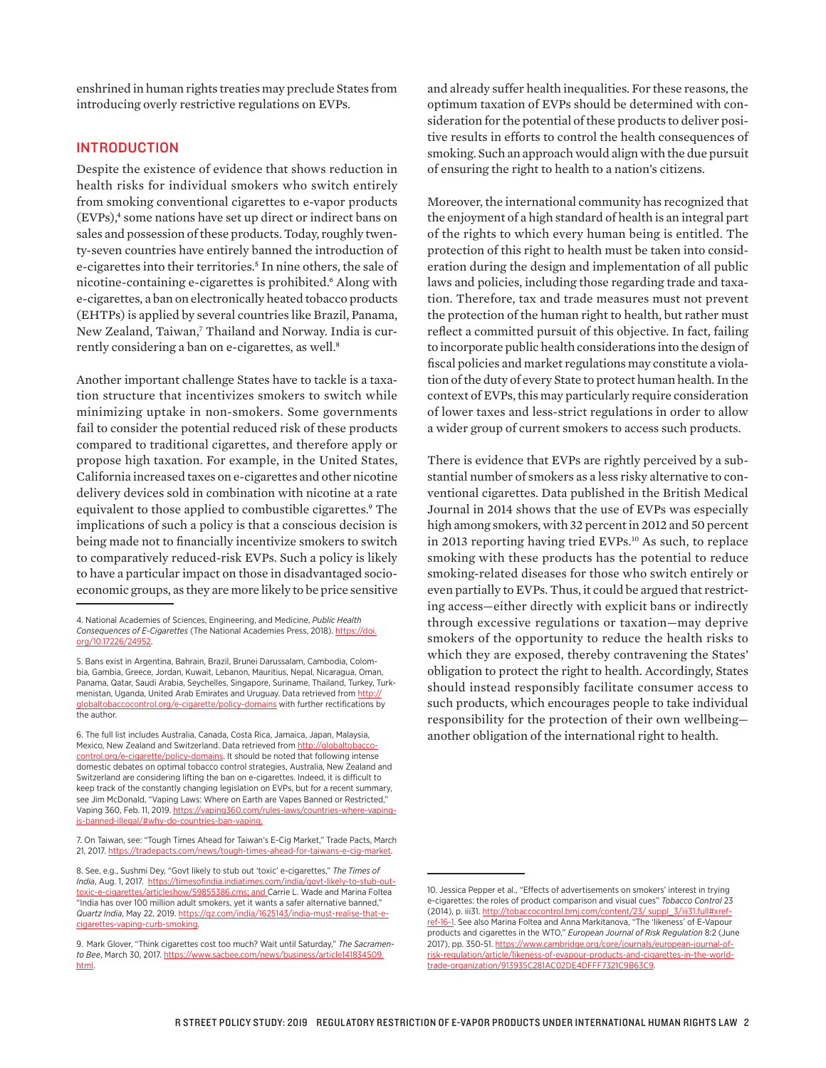enshrined in human rights treaties may preclude States from introducing overly restrictive regulations on EVPs.

## INTRODUCTION

Despite the existence of evidence that shows reduction in health risks for individual smokers who switch entirely from smoking conventional cigarettes to e-vapor products (EVPs),4 some nations have set up direct or indirect bans on sales and possession of these products. Today, roughly twenty-seven countries have entirely banned the introduction of e-cigarettes into their territories.<sup>5</sup> In nine others, the sale of nicotine-containing e-cigarettes is prohibited.<sup>6</sup> Along with e-cigarettes*,* a ban on electronically heated tobacco products (EHTPs) is applied by several countries like Brazil, Panama, New Zealand, Taiwan,7 Thailand and Norway. India is currently considering a ban on e-cigarettes, as well.<sup>8</sup>

Another important challenge States have to tackle is a taxation structure that incentivizes smokers to switch while minimizing uptake in non-smokers. Some governments fail to consider the potential reduced risk of these products compared to traditional cigarettes, and therefore apply or propose high taxation. For example, in the United States, California increased taxes on e-cigarettes and other nicotine delivery devices sold in combination with nicotine at a rate equivalent to those applied to combustible cigarettes.<sup>9</sup> The implications of such a policy is that a conscious decision is being made not to financially incentivize smokers to switch to comparatively reduced-risk EVPs. Such a policy is likely to have a particular impact on those in disadvantaged socioeconomic groups, as they are more likely to be price sensitive and already suffer health inequalities. For these reasons, the optimum taxation of EVPs should be determined with consideration for the potential of these products to deliver positive results in efforts to control the health consequences of smoking. Such an approach would align with the due pursuit of ensuring the right to health to a nation's citizens.

Moreover, the international community has recognized that the enjoyment of a high standard of health is an integral part of the rights to which every human being is entitled. The protection of this right to health must be taken into consideration during the design and implementation of all public laws and policies, including those regarding trade and taxation. Therefore, tax and trade measures must not prevent the protection of the human right to health, but rather must reflect a committed pursuit of this objective. In fact, failing to incorporate public health considerations into the design of fiscal policies and market regulations may constitute a violation of the duty of every State to protect human health. In the context of EVPs, this may particularly require consideration of lower taxes and less-strict regulations in order to allow a wider group of current smokers to access such products.

There is evidence that EVPs are rightly perceived by a substantial number of smokers as a less risky alternative to conventional cigarettes. Data published in the British Medical Journal in 2014 shows that the use of EVPs was especially high among smokers, with 32 percent in 2012 and 50 percent in 2013 reporting having tried EVPs.10 As such, to replace smoking with these products has the potential to reduce smoking-related diseases for those who switch entirely or even partially to EVPs. Thus, it could be argued that restricting access—either directly with explicit bans or indirectly through excessive regulations or taxation—may deprive smokers of the opportunity to reduce the health risks to which they are exposed, thereby contravening the States' obligation to protect the right to health. Accordingly, States should instead responsibly facilitate consumer access to such products, which encourages people to take individual responsibility for the protection of their own wellbeing another obligation of the international right to health.

<sup>4.</sup> National Academies of Sciences, Engineering, and Medicine, *Public Health Consequences of E-Cigarettes* (The National Academies Press, 2018). [https://doi.](https://doi.org/10.17226/24952) [org/10.17226/24952.](https://doi.org/10.17226/24952)

<sup>5.</sup> Bans exist in Argentina, Bahrain, Brazil, Brunei Darussalam, Cambodia, Colombia, Gambia, Greece, Jordan, Kuwait, Lebanon, Mauritius, Nepal, Nicaragua, Oman, Panama, Qatar, Saudi Arabia, Seychelles, Singapore, Suriname, Thailand, Turkey, Turkmenistan, Uganda, United Arab Emirates and Uruguay. Data retrieved from http: [globaltobaccocontrol.org/e-cigarette/policy-domains](http://globaltobaccocontrol.org/e-cigarette/policy-domains) with further rectifications by the author.

<sup>6.</sup> The full list includes Australia, Canada, Costa Rica, Jamaica, Japan, Malaysia, Mexico, New Zealand and Switzerland. Data retrieved from [http://globaltobacco](http://globaltobaccocontrol.org/e-cigarette/policy-domains)[control.org/e-cigarette/policy-domains](http://globaltobaccocontrol.org/e-cigarette/policy-domains). It should be noted that following intense domestic debates on optimal tobacco control strategies, Australia, New Zealand and Switzerland are considering lifting the ban on e-cigarettes. Indeed, it is difficult to keep track of the constantly changing legislation on EVPs, but for a recent summary, see Jim McDonald, "Vaping Laws: Where on Earth are Vapes Banned or Restricted," Vaping 360, Feb. 11, 2019. https://vaping360.com/rules-laws/countries-where-vapingis-banned-illegal/#why-do-countries-ban-vaping.

<sup>7.</sup> On Taiwan, see: "Tough Times Ahead for Taiwan's E-Cig Market," Trade Pacts, March 21, 2017. https://tradepacts.com/news/tough-times-ahead-for-taiwans-e

<sup>8.</sup> See, e.g., Sushmi Dey, "Govt likely to stub out 'toxic' e-cigarettes," *The Times of India*, Aug. 1, 2017. [https://timesofindia.indiatimes.com/india/govt-likely-to-stub-out](https://timesofindia.indiatimes.com/india/govt-likely-to-stub-out-toxic-e-cigarettes/articleshow/59855386.cms)[toxic-e-cigarettes/articleshow/59855386.cms](https://timesofindia.indiatimes.com/india/govt-likely-to-stub-out-toxic-e-cigarettes/articleshow/59855386.cms); and Carrie L. Wade and Marina Foltea "India has over 100 million adult smokers, yet it wants a safer alternative banned," *Quartz India*, May 22, 2019. [https://qz.com/india/1625143/india-must-realise-that-e](https://qz.com/india/1625143/india-must-realise-that-e-cigarettes-vaping-curb-smoking)[cigarettes-vaping-curb-smoking.](https://qz.com/india/1625143/india-must-realise-that-e-cigarettes-vaping-curb-smoking)

<sup>9.</sup> Mark Glover, "Think cigarettes cost too much? Wait until Saturday," *The Sacramento Bee*, March 30, 2017. [https://www.sacbee.com/news/business/article141834509.](https://www.sacbee.com/news/business/article141834509.html) [html](https://www.sacbee.com/news/business/article141834509.html).

<sup>10.</sup> Jessica Pepper et al., "Effects of advertisements on smokers' interest in trying e-cigarettes: the roles of product comparison and visual cues" *Tobacco Control* 23 (2014), p. iii31. http://tobaccocontrol.bmj.com/content/23/ suppl\_3/iii31.full#xrefref-16-1. See also Marina Foltea and Anna Markitanova, "The 'likeness' of E-Vapour products and cigarettes in the WTO," *European Journal of Risk Regulation* 8:2 (June 2017), pp. 350-51. [https://www.cambridge.org/core/journals/european-journal-of](https://www.cambridge.org/core/journals/european-journal-of-risk-regulation/article/likeness-of-evapour-products-and-cigarettes-in-the-world-trade-organization/913935C281AC02DE4DFFF7321C9B63C9)[risk-regulation/article/likeness-of-evapour-products-and-cigarettes-in-the-world](https://www.cambridge.org/core/journals/european-journal-of-risk-regulation/article/likeness-of-evapour-products-and-cigarettes-in-the-world-trade-organization/913935C281AC02DE4DFFF7321C9B63C9)[trade-organization/913935C281AC02DE4DFFF7321C9B63C9.](https://www.cambridge.org/core/journals/european-journal-of-risk-regulation/article/likeness-of-evapour-products-and-cigarettes-in-the-world-trade-organization/913935C281AC02DE4DFFF7321C9B63C9)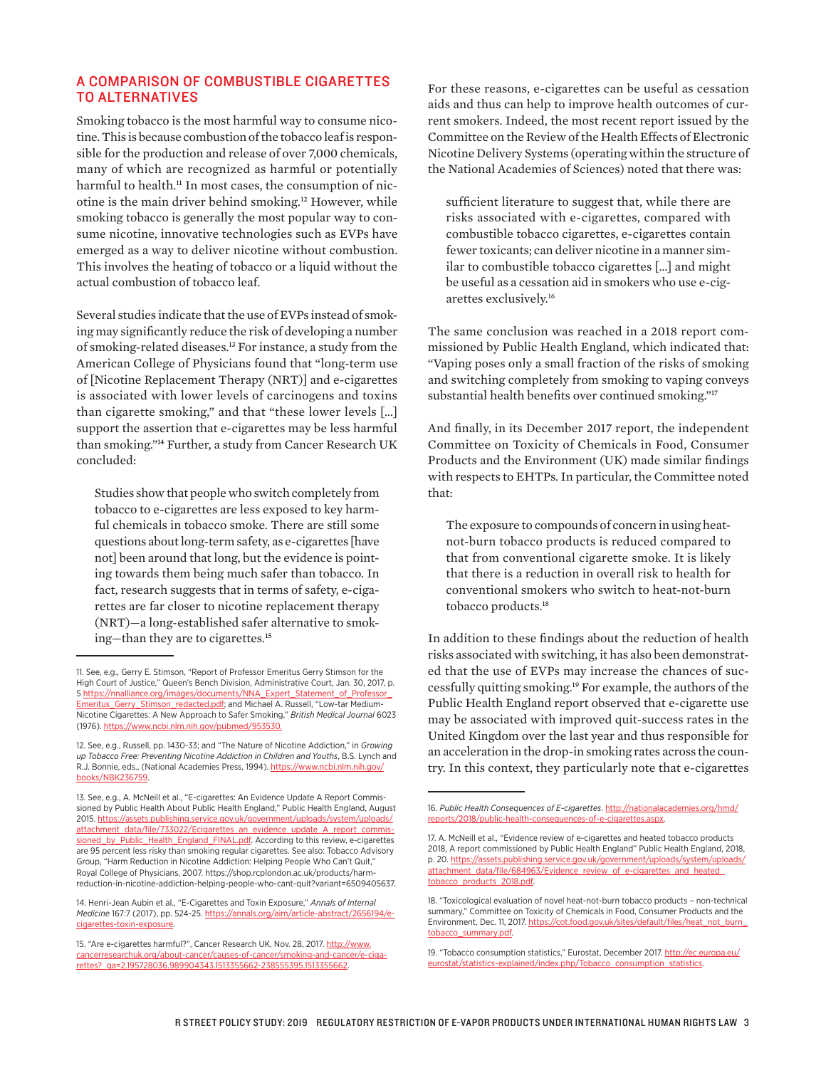## A COMPARISON OF COMBUSTIBLE CIGARETTES TO ALTERNATIVES

Smoking tobacco is the most harmful way to consume nicotine. This is because combustion of the tobacco leaf is responsible for the production and release of over 7,000 chemicals, many of which are recognized as harmful or potentially harmful to health.<sup>11</sup> In most cases, the consumption of nicotine is the main driver behind smoking.12 However, while smoking tobacco is generally the most popular way to consume nicotine, innovative technologies such as EVPs have emerged as a way to deliver nicotine without combustion. This involves the heating of tobacco or a liquid without the actual combustion of tobacco leaf.

Several studies indicate that the use of EVPs instead of smoking may significantly reduce the risk of developing a number of smoking-related diseases.13 For instance, a study from the American College of Physicians found that "long-term use of [Nicotine Replacement Therapy (NRT)] and e-cigarettes is associated with lower levels of carcinogens and toxins than cigarette smoking," and that "these lower levels […] support the assertion that e-cigarettes may be less harmful than smoking."14 Further, a study from Cancer Research UK concluded:

Studies show that people who switch completely from tobacco to e-cigarettes are less exposed to key harmful chemicals in tobacco smoke. There are still some questions about long-term safety, as e-cigarettes [have not] been around that long, but the evidence is pointing towards them being much safer than tobacco. In fact, research suggests that in terms of safety, e-cigarettes are far closer to nicotine replacement therapy (NRT)—a long-established safer alternative to smoking—than they are to cigarettes.15

For these reasons, e-cigarettes can be useful as cessation aids and thus can help to improve health outcomes of current smokers. Indeed, the most recent report issued by the Committee on the Review of the Health Effects of Electronic Nicotine Delivery Systems (operating within the structure of the National Academies of Sciences) noted that there was:

sufficient literature to suggest that, while there are risks associated with e-cigarettes, compared with combustible tobacco cigarettes, e-cigarettes contain fewer toxicants; can deliver nicotine in a manner similar to combustible tobacco cigarettes […] and might be useful as a cessation aid in smokers who use e-cigarettes exclusively.16

The same conclusion was reached in a 2018 report commissioned by Public Health England, which indicated that: "Vaping poses only a small fraction of the risks of smoking and switching completely from smoking to vaping conveys substantial health benefits over continued smoking."17

And finally, in its December 2017 report, the independent Committee on Toxicity of Chemicals in Food, Consumer Products and the Environment (UK) made similar findings with respects to EHTPs. In particular, the Committee noted that:

The exposure to compounds of concern in using heatnot-burn tobacco products is reduced compared to that from conventional cigarette smoke. It is likely that there is a reduction in overall risk to health for conventional smokers who switch to heat-not-burn tobacco products.18

In addition to these findings about the reduction of health risks associated with switching, it has also been demonstrated that the use of EVPs may increase the chances of successfully quitting smoking.19 For example, the authors of the Public Health England report observed that e-cigarette use may be associated with improved quit-success rates in the United Kingdom over the last year and thus responsible for an acceleration in the drop-in smoking rates across the country. In this context, they particularly note that e-cigarettes

<sup>11.</sup> See, e.g., Gerry E. Stimson, "Report of Professor Emeritus Gerry Stimson for the High Court of Justice," Queen's Bench Division, Administrative Court, Jan. 30, 2017, p. 5 [https://nnalliance.org/images/documents/NNA\\_Expert\\_Statement\\_of\\_Professor\\_](https://nnalliance.org/images/documents/NNA_Expert_Statement_of_Professor_Emeritus_Gerry_Stimson_redacted.pdf) [Emeritus\\_Gerry\\_Stimson\\_redacted.pdf](https://nnalliance.org/images/documents/NNA_Expert_Statement_of_Professor_Emeritus_Gerry_Stimson_redacted.pdf); and Michael A. Russell, "Low-tar Medium-Nicotine Cigarettes: A New Approach to Safer Smoking," *British Medical Journal* 6023 (1976). [https://www.ncbi.nlm.nih.gov/pubmed/953530.](https://www.ncbi.nlm.nih.gov/pubmed/953530)

<sup>12.</sup> See, e.g., Russell, pp. 1430-33; and "The Nature of Nicotine Addiction," in *Growing up Tobacco Free: Preventing Nicotine Addiction in Children and Youths*, B.S. Lynch and R.J. Bonnie, eds., (National Academies Press, 1994). [https://www.ncbi.nlm.nih.gov/](https://www.ncbi.nlm.nih.gov/books/NBK236759) [books/NBK236759](https://www.ncbi.nlm.nih.gov/books/NBK236759).

<sup>13.</sup> See, e.g., A. McNeill et al., "E-cigarettes: An Evidence Update A Report Commissioned by Public Health About Public Health England," Public Health England, August 2015. [https://assets.publishing.service.gov.uk/government/uploads/system/uploads/](https://assets.publishing.service.gov.uk/government/uploads/system/uploads/attachment_data/file/733022/Ecigarettes_an_evidence_update_A_report_commissioned_by_Public_Health_England_FINAL.pdf) [attachment\\_data/file/733022/Ecigarettes\\_an\\_evidence\\_update\\_A\\_report\\_commis](https://assets.publishing.service.gov.uk/government/uploads/system/uploads/attachment_data/file/733022/Ecigarettes_an_evidence_update_A_report_commissioned_by_Public_Health_England_FINAL.pdf)[sioned\\_by\\_Public\\_Health\\_England\\_FINAL.pdf](https://assets.publishing.service.gov.uk/government/uploads/system/uploads/attachment_data/file/733022/Ecigarettes_an_evidence_update_A_report_commissioned_by_Public_Health_England_FINAL.pdf). According to this review, e-cigarettes are 95 percent less risky than smoking regular cigarettes. See also: Tobacco Advisory Group, "Harm Reduction in Nicotine Addiction: Helping People Who Can't Quit," Royal College of Physicians, 2007. [https://shop.rcplondon.ac.uk/products/harm](https://shop.rcplondon.ac.uk/products/harm-reduction-in-nicotine-addiction-helping-people-who-cant-quit?variant=6509405637)[reduction-in-nicotine-addiction-helping-people-who-cant-quit?variant=6509405637](https://shop.rcplondon.ac.uk/products/harm-reduction-in-nicotine-addiction-helping-people-who-cant-quit?variant=6509405637).

<sup>14.</sup> Henri-Jean Aubin et al., "E-Cigarettes and Toxin Exposure," *Annals of Internal Medicine* 167:7 (2017), pp. 524-25. [https://annals.org/aim/article-abstract/2656194/e](https://annals.org/aim/article-abstract/2656194/e-cigarettes-toxin-exposure)[cigarettes-toxin-exposure](https://annals.org/aim/article-abstract/2656194/e-cigarettes-toxin-exposure).

<sup>15. &</sup>quot;Are e-cigarettes harmful?", Cancer Research UK, Nov. 28, 2017. [http://www.](http://www.cancerresearchuk.org/about-cancer/causes-of-cancer/smoking-and-cancer/e-cigarettes?_ga=2.195728036.989904343.1513355662-238555395.1513355662) [cancerresearchuk.org/about-cancer/causes-of-cancer/smoking-and-cancer/e-ciga](http://www.cancerresearchuk.org/about-cancer/causes-of-cancer/smoking-and-cancer/e-cigarettes?_ga=2.195728036.989904343.1513355662-238555395.1513355662)[rettes?\\_ga=2.195728036.989904343.1513355662-238555395.1513355662.](http://www.cancerresearchuk.org/about-cancer/causes-of-cancer/smoking-and-cancer/e-cigarettes?_ga=2.195728036.989904343.1513355662-238555395.1513355662)

<sup>16.</sup> *Public Health Consequences of E-cigarettes*. [http://nationalacademies.org/hmd/](http://nationalacademies.org/hmd/reports/2018/public-health-consequences-of-e-cigarettes.aspx) [reports/2018/public-health-consequences-of-e-cigarettes.aspx](http://nationalacademies.org/hmd/reports/2018/public-health-consequences-of-e-cigarettes.aspx).

<sup>17.</sup> A. McNeill et al., "Evidence review of e-cigarettes and heated tobacco products 2018, A report commissioned by Public Health England" Public Health England, 2018, p. 20. [https://assets.publishing.service.gov.uk/government/uploads/system/uploads/](https://assets.publishing.service.gov.uk/government/uploads/system/uploads/attachment_data/file/684963/Evidence_review_of_e-cigarettes_and_heated_tobacco_products_2018.pdf) [attachment\\_data/file/684963/Evidence\\_review\\_of\\_e-cigarettes\\_and\\_heated\\_](https://assets.publishing.service.gov.uk/government/uploads/system/uploads/attachment_data/file/684963/Evidence_review_of_e-cigarettes_and_heated_tobacco_products_2018.pdf) [tobacco\\_products\\_2018.pdf](https://assets.publishing.service.gov.uk/government/uploads/system/uploads/attachment_data/file/684963/Evidence_review_of_e-cigarettes_and_heated_tobacco_products_2018.pdf).

<sup>18. &</sup>quot;Toxicological evaluation of novel heat-not-burn tobacco products – non-technical summary," Committee on Toxicity of Chemicals in Food, Consumer Products and the Environment, Dec. 11, 2017. [https://cot.food.gov.uk/sites/default/files/heat\\_not\\_burn\\_](https://cot.food.gov.uk/sites/default/files/heat_not_burn_tobacco_summary.pdf) [tobacco\\_summary.pdf](https://cot.food.gov.uk/sites/default/files/heat_not_burn_tobacco_summary.pdf).

<sup>19. &</sup>quot;Tobacco consumption statistics," Eurostat, December 2017. [http://ec.europa.eu/](http://ec.europa.eu/eurostat/statistics-explained/index.php/Tobacco_consumption_statistics) [eurostat/statistics-explained/index.php/Tobacco\\_consumption\\_statistics.](http://ec.europa.eu/eurostat/statistics-explained/index.php/Tobacco_consumption_statistics)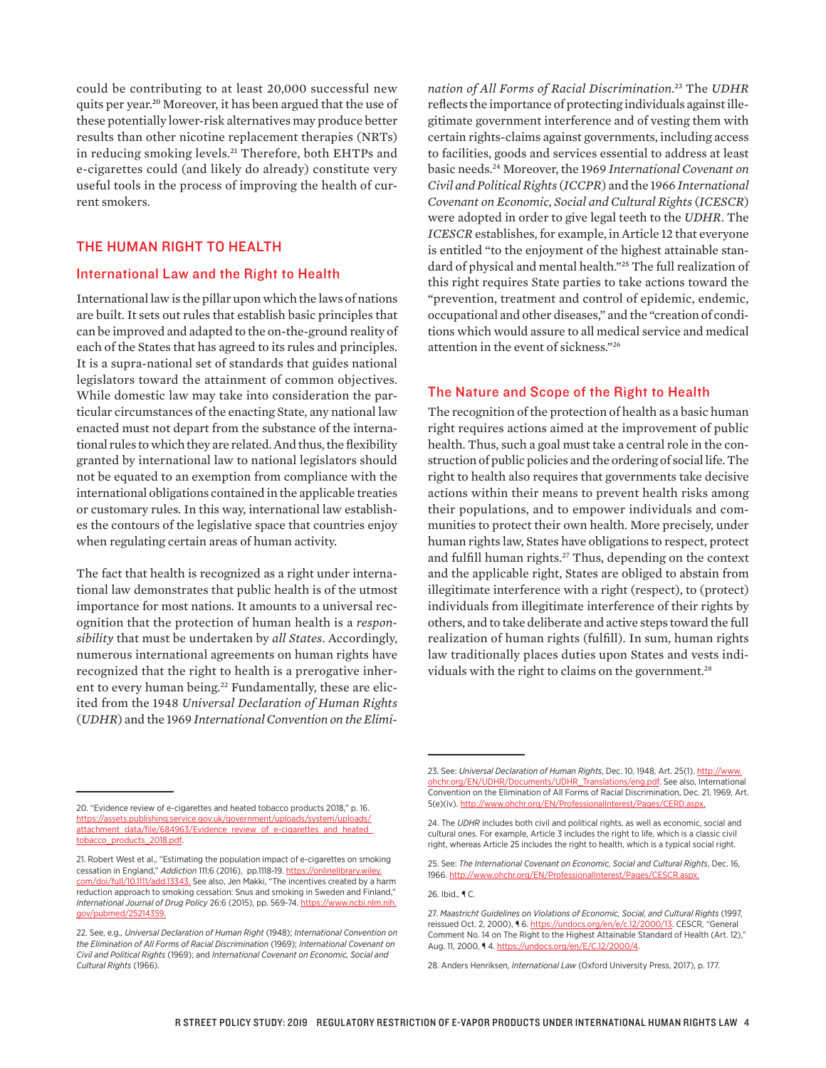could be contributing to at least 20,000 successful new quits per year.20 Moreover, it has been argued that the use of these potentially lower-risk alternatives may produce better results than other nicotine replacement therapies (NRTs) in reducing smoking levels.<sup>21</sup> Therefore, both EHTPs and e-cigarettes could (and likely do already) constitute very useful tools in the process of improving the health of current smokers.

## THE HUMAN RIGHT TO HEALTH

### International Law and the Right to Health

International law is the pillar upon which the laws of nations are built. It sets out rules that establish basic principles that can be improved and adapted to the on-the-ground reality of each of the States that has agreed to its rules and principles. It is a supra-national set of standards that guides national legislators toward the attainment of common objectives. While domestic law may take into consideration the particular circumstances of the enacting State, any national law enacted must not depart from the substance of the international rules to which they are related. And thus, the flexibility granted by international law to national legislators should not be equated to an exemption from compliance with the international obligations contained in the applicable treaties or customary rules. In this way, international law establishes the contours of the legislative space that countries enjoy when regulating certain areas of human activity.

The fact that health is recognized as a right under international law demonstrates that public health is of the utmost importance for most nations. It amounts to a universal recognition that the protection of human health is a *responsibility* that must be undertaken by *all States*. Accordingly, numerous international agreements on human rights have recognized that the right to health is a prerogative inherent to every human being.<sup>22</sup> Fundamentally, these are elicited from the 1948 *Universal Declaration of Human Rights* (*UDHR*) and the 1969 *International Convention on the Elimi-*

*nation of All Forms of Racial Discrimination*. 23 The *UDHR* reflects the importance of protecting individuals against illegitimate government interference and of vesting them with certain rights-claims against governments, including access to facilities, goods and services essential to address at least basic needs.24 Moreover, the 1969 *International Covenant on Civil and Political Rights* (*ICCPR*) and the 1966 *International Covenant on Economic, Social and Cultural Rights* (*ICESCR*) were adopted in order to give legal teeth to the *UDHR*. The *ICESCR* establishes, for example, in Article 12 that everyone is entitled "to the enjoyment of the highest attainable standard of physical and mental health."25 The full realization of this right requires State parties to take actions toward the "prevention, treatment and control of epidemic, endemic, occupational and other diseases," and the "creation of conditions which would assure to all medical service and medical attention in the event of sickness."26

## The Nature and Scope of the Right to Health

The recognition of the protection of health as a basic human right requires actions aimed at the improvement of public health. Thus, such a goal must take a central role in the construction of public policies and the ordering of social life. The right to health also requires that governments take decisive actions within their means to prevent health risks among their populations, and to empower individuals and communities to protect their own health. More precisely, under human rights law, States have obligations to respect, protect and fulfill human rights.27 Thus, depending on the context and the applicable right, States are obliged to abstain from illegitimate interference with a right (respect), to (protect) individuals from illegitimate interference of their rights by others, and to take deliberate and active steps toward the full realization of human rights (fulfill). In sum, human rights law traditionally places duties upon States and vests individuals with the right to claims on the government.<sup>28</sup>

<sup>20. &</sup>quot;Evidence review of e-cigarettes and heated tobacco products 2018," p. 16. [https://assets.publishing.service.gov.uk/government/uploads/system/uploads/](https://assets.publishing.service.gov.uk/government/uploads/system/uploads/attachment_data/file/684963/Evidence_review_of_e-cigarettes_and_heated_tobacco_products_2018.pdf) [attachment\\_data/file/684963/Evidence\\_review\\_of\\_e-cigarettes\\_and\\_heated\\_](https://assets.publishing.service.gov.uk/government/uploads/system/uploads/attachment_data/file/684963/Evidence_review_of_e-cigarettes_and_heated_tobacco_products_2018.pdf) [tobacco\\_products\\_2018.pdf.](https://assets.publishing.service.gov.uk/government/uploads/system/uploads/attachment_data/file/684963/Evidence_review_of_e-cigarettes_and_heated_tobacco_products_2018.pdf)

<sup>21.</sup> Robert West et al., "Estimating the population impact of e-cigarettes on smoking cessation in England," *Addiction* 111:6 (2016), pp.1118-19. [https://onlinelibrary.wiley.](https://onlinelibrary.wiley.com/doi/full/10.1111/add.13343) [com/doi/full/10.1111/add.13343.](https://onlinelibrary.wiley.com/doi/full/10.1111/add.13343) See also, Jen Makki, "The incentives created by a harm reduction approach to smoking cessation: Snus and smoking in Sweden and Finland," *International Journal of Drug Policy* 26:6 (2015), pp. 569-74. [https://www.ncbi.nlm.nih.](https://www.ncbi.nlm.nih.gov/pubmed/25214359) [gov/pubmed/25214359.](https://www.ncbi.nlm.nih.gov/pubmed/25214359)

<sup>22.</sup> See, e.g., *Universal Declaration of Human Right* (1948); *International Convention on the Elimination of All Forms of Racial Discrimination* (1969); *International Covenant on Civil and Political Rights* (1969); and *International Covenant on Economic, Social and Cultural Rights* (1966).

<sup>23.</sup> See: *Universal Declaration of Human Rights*, Dec. 10, 1948, Art. 25(1). [http://www.](http://www.ohchr.org/EN/UDHR/Documents/UDHR_Translations/eng.pdf) [ohchr.org/EN/UDHR/Documents/UDHR\\_Translations/eng.pdf](http://www.ohchr.org/EN/UDHR/Documents/UDHR_Translations/eng.pdf). See also, International Convention on the Elimination of All Forms of Racial Discrimination, Dec. 21, 1969, Art. 5(e)(iv). http://www.ohchr.org/EN/ProfessionalInterest/Pages/CERD

<sup>24.</sup> The *UDHR* includes both civil and political rights, as well as economic, social and cultural ones. For example, Article 3 includes the right to life, which is a classic civil right, whereas Article 25 includes the right to health, which is a typical social right.

<sup>25.</sup> See: *The International Covenant on Economic, Social and Cultural Rights*, Dec. 16, 1966.<http://www.ohchr.org/EN/ProfessionalInterest/Pages/CESCR.aspx>.

<sup>26.</sup> Ibid., ¶ C.

<sup>27.</sup> *Maastricht Guidelines on Violations of Economic, Social, and Cultural Rights* (1997, reissued Oct. 2, 2000), 16.<https://undocs.org/en/e/c.12/2000/13>. CESCR, "General Comment No. 14 on The Right to the Highest Attainable Standard of Health (Art. 12)," Aug. 11, 2000, ¶ 4. <https://undocs.org/en/E/C.12/2000/4>.

<sup>28.</sup> Anders Henriksen, *International Law* (Oxford University Press, 2017), p. 177.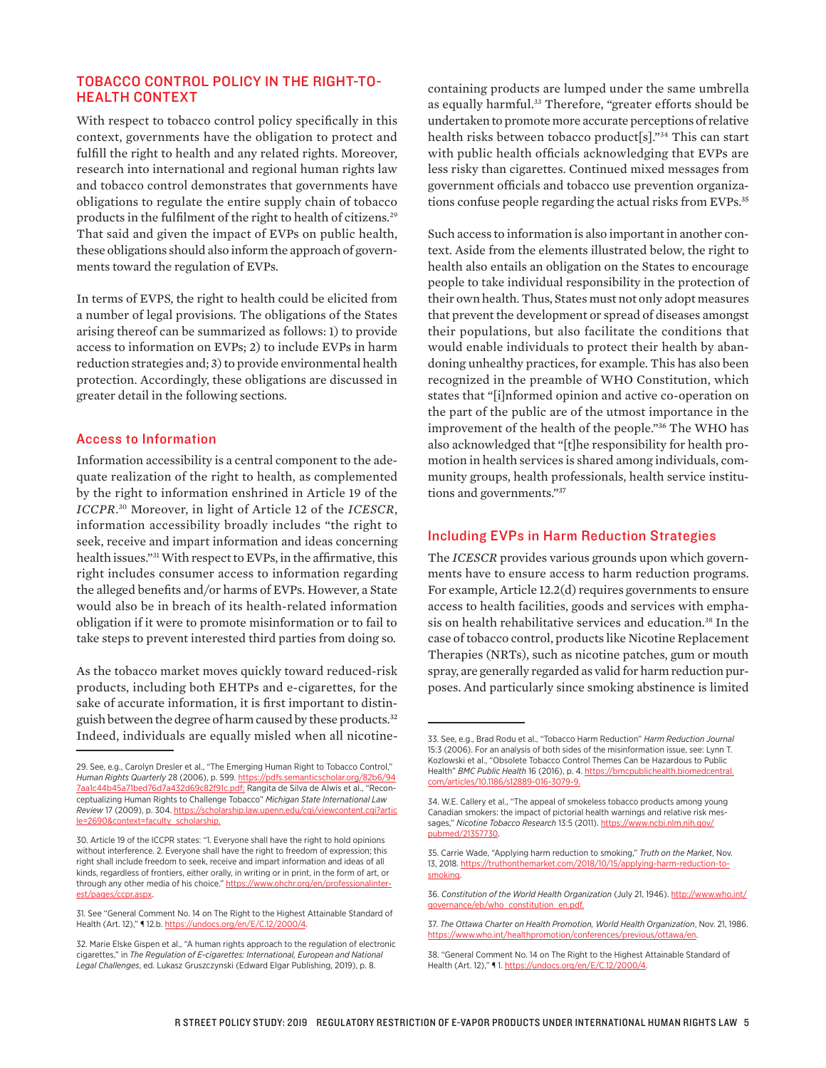## TOBACCO CONTROL POLICY IN THE RIGHT-TO-HEALTH CONTEXT

With respect to tobacco control policy specifically in this context, governments have the obligation to protect and fulfill the right to health and any related rights. Moreover, research into international and regional human rights law and tobacco control demonstrates that governments have obligations to regulate the entire supply chain of tobacco products in the fulfilment of the right to health of citizens.<sup>29</sup> That said and given the impact of EVPs on public health, these obligations should also inform the approach of governments toward the regulation of EVPs.

In terms of EVPS, the right to health could be elicited from a number of legal provisions. The obligations of the States arising thereof can be summarized as follows: 1) to provide access to information on EVPs; 2) to include EVPs in harm reduction strategies and; 3) to provide environmental health protection. Accordingly, these obligations are discussed in greater detail in the following sections.

## Access to Information

Information accessibility is a central component to the adequate realization of the right to health, as complemented by the right to information enshrined in Article 19 of the *ICCPR*. 30 Moreover, in light of Article 12 of the *ICESCR*, information accessibility broadly includes "the right to seek, receive and impart information and ideas concerning health issues."31 With respect to EVPs, in the affirmative, this right includes consumer access to information regarding the alleged benefits and/or harms of EVPs. However, a State would also be in breach of its health-related information obligation if it were to promote misinformation or to fail to take steps to prevent interested third parties from doing so.

As the tobacco market moves quickly toward reduced-risk products, including both EHTPs and e-cigarettes, for the sake of accurate information, it is first important to distinguish between the degree of harm caused by these products.32 Indeed, individuals are equally misled when all nicotine-

containing products are lumped under the same umbrella as equally harmful.<sup>33</sup> Therefore, "greater efforts should be undertaken to promote more accurate perceptions of relative health risks between tobacco product[s]."34 This can start with public health officials acknowledging that EVPs are less risky than cigarettes. Continued mixed messages from government officials and tobacco use prevention organizations confuse people regarding the actual risks from EVPs.35

Such access to information is also important in another context. Aside from the elements illustrated below, the right to health also entails an obligation on the States to encourage people to take individual responsibility in the protection of their own health. Thus, States must not only adopt measures that prevent the development or spread of diseases amongst their populations, but also facilitate the conditions that would enable individuals to protect their health by abandoning unhealthy practices, for example. This has also been recognized in the preamble of WHO Constitution, which states that "[i]nformed opinion and active co-operation on the part of the public are of the utmost importance in the improvement of the health of the people."36 The WHO has also acknowledged that "[t]he responsibility for health promotion in health services is shared among individuals, community groups, health professionals, health service institutions and governments."37

#### Including EVPs in Harm Reduction Strategies

The *ICESCR* provides various grounds upon which governments have to ensure access to harm reduction programs. For example, Article 12.2(d) requires governments to ensure access to health facilities, goods and services with emphasis on health rehabilitative services and education.<sup>38</sup> In the case of tobacco control, products like Nicotine Replacement Therapies (NRTs), such as nicotine patches, gum or mouth spray, are generally regarded as valid for harm reduction purposes. And particularly since smoking abstinence is limited

<sup>29.</sup> See, e.g., Carolyn Dresler et al., "The Emerging Human Right to Tobacco Control," *Human Rights Quarterly* 28 (2006), p. 599. [https://pdfs.semanticscholar.org/82b6/94](https://pdfs.semanticscholar.org/82b6/947aa1c44b45a71bed76d7a432d69c82f91c.pdf) [7aa1c44b45a71bed76d7a432d69c82f91c.pdf;](https://pdfs.semanticscholar.org/82b6/947aa1c44b45a71bed76d7a432d69c82f91c.pdf) Rangita de Silva de Alwis et al., "Reconceptualizing Human Rights to Challenge Tobacco" *Michigan State International Law Review* 17 (2009), p. 304. [https://scholarship.law.upenn.edu/cgi/viewcontent.cgi?artic](https://scholarship.law.upenn.edu/cgi/viewcontent.cgi?article=2690&context=faculty_scholarship) [le=2690&context=faculty\\_scholarship](https://scholarship.law.upenn.edu/cgi/viewcontent.cgi?article=2690&context=faculty_scholarship).

<sup>30.</sup> Article 19 of the ICCPR states: "1. Everyone shall have the right to hold opinions without interference. 2. Everyone shall have the right to freedom of expression; this right shall include freedom to seek, receive and impart information and ideas of all kinds, regardless of frontiers, either orally, in writing or in print, in the form of art, or through any other media of his choice." [https://www.ohchr.org/en/professionalinter](https://www.ohchr.org/en/professionalinterest/pages/ccpr.aspx)[est/pages/ccpr.aspx.](https://www.ohchr.org/en/professionalinterest/pages/ccpr.aspx)

<sup>31.</sup> See "General Comment No. 14 on The Right to the Highest Attainable Standard of Health (Art. 12)," 112.b. https://undocs.org/en/E/

<sup>32.</sup> Marie Elske Gispen et al., "A human rights approach to the regulation of electronic cigarettes," in *The Regulation of E-cigarettes: International, European and National Legal Challenges*, ed. Lukasz Gruszczynski (Edward Elgar Publishing, 2019), p. 8.

<sup>33.</sup> See, e.g., Brad Rodu et al., "Tobacco Harm Reduction" *Harm Reduction Journal* 15:3 (2006). For an analysis of both sides of the misinformation issue, see: Lynn T. Kozlowski et al., "Obsolete Tobacco Control Themes Can be Hazardous to Public Health" *BMC Public Health* 16 (2016), p. 4. [https://bmcpublichealth.biomedcentral.](https://bmcpublichealth.biomedcentral.com/articles/10.1186/s12889-016-3079-9) com/articles/10.1186/s12889-

<sup>34.</sup> W.E. Callery et al., "The appeal of smokeless tobacco products among young Canadian smokers: the impact of pictorial health warnings and relative risk messages," *Nicotine Tobacco Research* 13:5 (2011). [https://www.ncbi.nlm.nih.gov/](https://www.ncbi.nlm.nih.gov/pubmed/21357730) [pubmed/21357730](https://www.ncbi.nlm.nih.gov/pubmed/21357730).

<sup>35.</sup> Carrie Wade, "Applying harm reduction to smoking," *Truth on the Market*, Nov. 13, 2018. [https://truthonthemarket.com/2018/10/15/applying-harm-reduction-to](https://truthonthemarket.com/2018/10/15/applying-harm-reduction-to-smoking)[smoking.](https://truthonthemarket.com/2018/10/15/applying-harm-reduction-to-smoking)

<sup>36.</sup> *Constitution of the World Health Organization* (July 21, 1946). [http://www.who.int/](http://www.who.int/governance/eb/who_constitution_en.pdf) [governance/eb/who\\_constitution\\_en.pdf.](http://www.who.int/governance/eb/who_constitution_en.pdf)

<sup>37.</sup> *The Ottawa Charter on Health Promotion, World Health Organization*, Nov. 21, 1986. <https://www.who.int/healthpromotion/conferences/previous/ottawa/en>.

<sup>38. &</sup>quot;General Comment No. 14 on The Right to the Highest Attainable Standard of Health (Art. 12)," ¶ 1. [https://undocs.org/en/E/C.12/2000/4.](https://undocs.org/en/E/C.12/2000/4)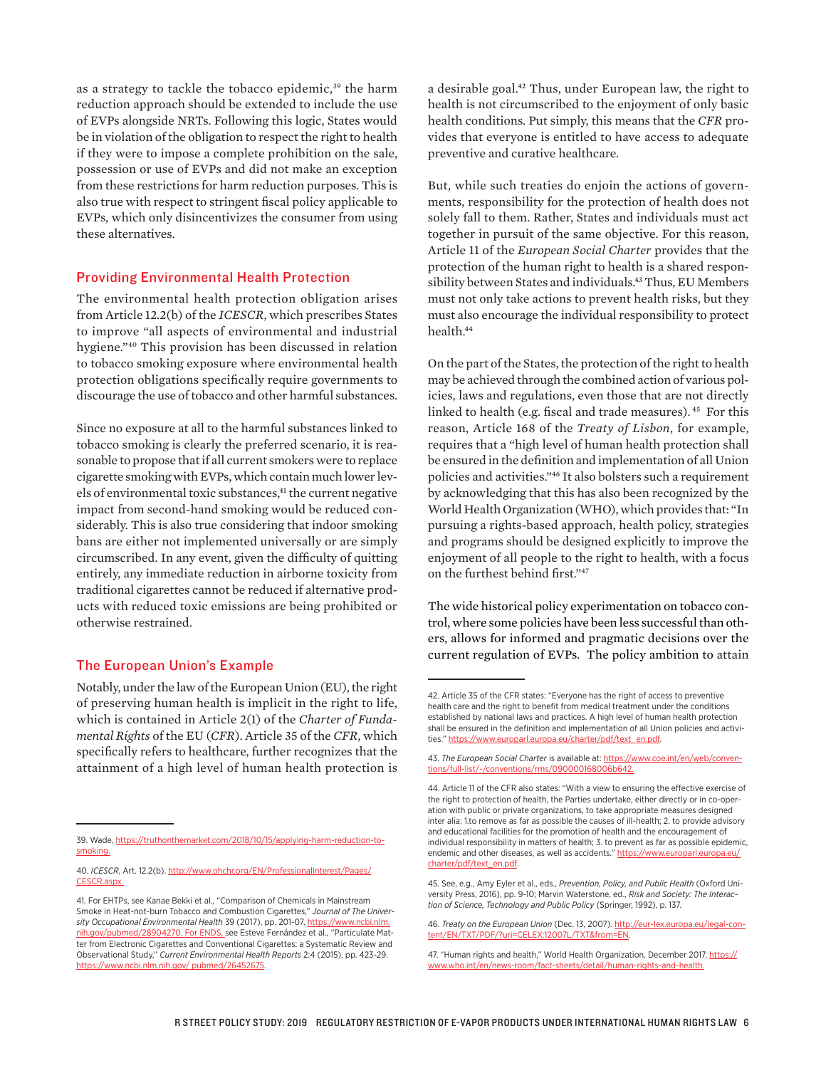as a strategy to tackle the tobacco epidemic,<sup>39</sup> the harm reduction approach should be extended to include the use of EVPs alongside NRTs. Following this logic, States would be in violation of the obligation to respect the right to health if they were to impose a complete prohibition on the sale, possession or use of EVPs and did not make an exception from these restrictions for harm reduction purposes. This is also true with respect to stringent fiscal policy applicable to EVPs, which only disincentivizes the consumer from using these alternatives.

#### Providing Environmental Health Protection

The environmental health protection obligation arises from Article 12.2(b) of the *ICESCR*, which prescribes States to improve "all aspects of environmental and industrial hygiene."40 This provision has been discussed in relation to tobacco smoking exposure where environmental health protection obligations specifically require governments to discourage the use of tobacco and other harmful substances.

Since no exposure at all to the harmful substances linked to tobacco smoking is clearly the preferred scenario, it is reasonable to propose that if all current smokers were to replace cigarette smoking with EVPs, which contain much lower levels of environmental toxic substances,<sup>41</sup> the current negative impact from second-hand smoking would be reduced considerably. This is also true considering that indoor smoking bans are either not implemented universally or are simply circumscribed. In any event, given the difficulty of quitting entirely, any immediate reduction in airborne toxicity from traditional cigarettes cannot be reduced if alternative products with reduced toxic emissions are being prohibited or otherwise restrained.

## The European Union's Example

Notably, under the law of the European Union (EU), the right of preserving human health is implicit in the right to life, which is contained in Article 2(1) of the *Charter of Fundamental Rights* of the EU (*CFR*). Article 35 of the *CFR*, which specifically refers to healthcare, further recognizes that the attainment of a high level of human health protection is

a desirable goal.42 Thus, under European law, the right to health is not circumscribed to the enjoyment of only basic health conditions. Put simply, this means that the *CFR* provides that everyone is entitled to have access to adequate preventive and curative healthcare.

But, while such treaties do enjoin the actions of governments, responsibility for the protection of health does not solely fall to them. Rather, States and individuals must act together in pursuit of the same objective. For this reason, Article 11 of the *European Social Charter* provides that the protection of the human right to health is a shared responsibility between States and individuals.43 Thus, EU Members must not only take actions to prevent health risks, but they must also encourage the individual responsibility to protect health.44

On the part of the States, the protection of the right to health may be achieved through the combined action of various policies, laws and regulations, even those that are not directly linked to health (e.g. fiscal and trade measures).<sup>45</sup> For this reason, Article 168 of the *Treaty of Lisbon*, for example, requires that a "high level of human health protection shall be ensured in the definition and implementation of all Union policies and activities."46 It also bolsters such a requirement by acknowledging that this has also been recognized by the World Health Organization (WHO), which provides that: "In pursuing a rights-based approach, health policy, strategies and programs should be designed explicitly to improve the enjoyment of all people to the right to health, with a focus on the furthest behind first."47

The wide historical policy experimentation on tobacco control, where some policies have been less successful than others, allows for informed and pragmatic decisions over the current regulation of EVPs. The policy ambition to attain

<sup>39.</sup> Wade. [https://truthonthemarket.com/2018/10/15/applying-harm-reduction-to](https://truthonthemarket.com/2018/10/15/applying-harm-reduction-to-smoking)[smoking](https://truthonthemarket.com/2018/10/15/applying-harm-reduction-to-smoking).

<sup>40.</sup> *ICESCR*, Art. 12.2(b). [http://www.ohchr.org/EN/ProfessionalInterest/Pages/](http://www.ohchr.org/EN/ProfessionalInterest/Pages/CESCR.aspx) [CESCR.aspx](http://www.ohchr.org/EN/ProfessionalInterest/Pages/CESCR.aspx).

<sup>41.</sup> For EHTPs, see Kanae Bekki et al., "Comparison of Chemicals in Mainstream Smoke in Heat-not-burn Tobacco and Combustion Cigarettes," *Journal of The University Occupational Environmental Health* 39 (2017), pp. 201-07. [https://www.ncbi.nlm.](https://www.ncbi.nlm.nih.gov/pubmed/28904270) [nih.gov/pubmed/28904270](https://www.ncbi.nlm.nih.gov/pubmed/28904270). For ENDS, see Esteve Fernández et al., "Particulate Matter from Electronic Cigarettes and Conventional Cigarettes: a Systematic Review and Observational Study," *Current Environmental Health Reports* 2:4 (2015), pp. 423-29. [https://www.ncbi.nlm.nih.gov/ pubmed/26452675.](https://www.ncbi.nlm.nih.gov/%20pubmed/26452675)

<sup>42.</sup> Article 35 of the CFR states: "Everyone has the right of access to preventive health care and the right to benefit from medical treatment under the conditions established by national laws and practices. A high level of human health protection shall be ensured in the definition and implementation of all Union policies and activities." [https://www.europarl.europa.eu/charter/pdf/text\\_en.pdf](https://www.europarl.europa.eu/charter/pdf/text_en.pdf).

<sup>43.</sup> *The European Social Charter* is available at: [https://www.coe.int/en/web/conven](https://www.coe.int/en/web/conventions/full-list/-/conventions/rms/090000168006b642)tions/full-list/-/conventions/rms/0900001

<sup>44.</sup> Article 11 of the CFR also states: "With a view to ensuring the effective exercise of the right to protection of health, the Parties undertake, either directly or in co-operation with public or private organizations, to take appropriate measures designed inter alia: 1.to remove as far as possible the causes of ill-health; 2. to provide advisory and educational facilities for the promotion of health and the encouragement of individual responsibility in matters of health; 3. to prevent as far as possible epidemic, endemic and other diseases, as well as accidents." https://w [charter/pdf/text\\_en.pdf](https://www.europarl.europa.eu/charter/pdf/text_en.pdf).

<sup>45.</sup> See, e.g., Amy Eyler et al., eds., *Prevention, Policy, and Public Health* (Oxford University Press, 2016), pp. 9-10; Marvin Waterstone, ed., *Risk and Society: The Interaction of Science, Technology and Public Policy* (Springer, 1992), p. 137.

<sup>46.</sup> *Treaty on the European Union* (Dec. 13, 2007). [http://eur-lex.europa.eu/legal-con](http://eur-lex.europa.eu/legal-content/EN/TXT/PDF/?uri=CELEX:12007L/TXT&from=EN)[tent/EN/TXT/PDF/?uri=CELEX:12007L/TXT&from=EN](http://eur-lex.europa.eu/legal-content/EN/TXT/PDF/?uri=CELEX:12007L/TXT&from=EN).

<sup>47. &</sup>quot;Human rights and health," World Health Organization, December 2017. [https://](https://www.who.int/en/news-room/fact-sheets/detail/human-rights-and-health) [www.who.int/en/news-room/fact-sheets/detail/human-rights-and-health.](https://www.who.int/en/news-room/fact-sheets/detail/human-rights-and-health)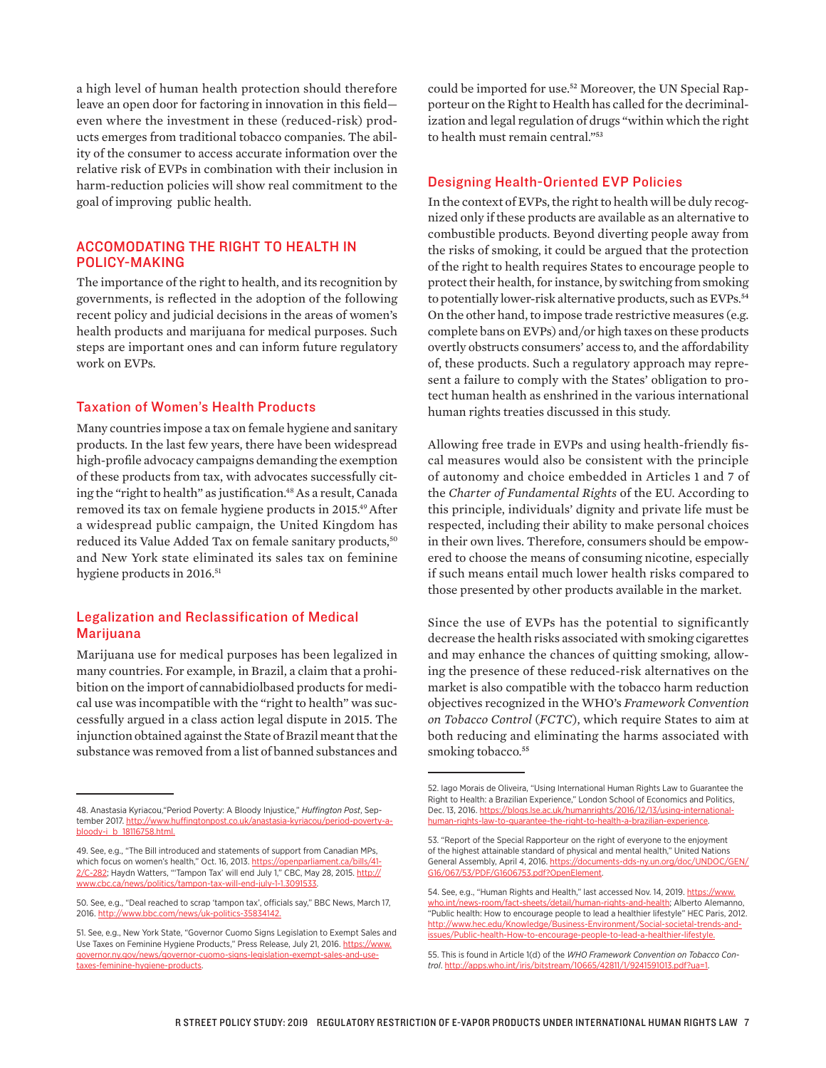a high level of human health protection should therefore leave an open door for factoring in innovation in this field even where the investment in these (reduced-risk) products emerges from traditional tobacco companies. The ability of the consumer to access accurate information over the relative risk of EVPs in combination with their inclusion in harm-reduction policies will show real commitment to the goal of improving public health.

## ACCOMODATING THE RIGHT TO HEALTH IN POLICY-MAKING

The importance of the right to health, and its recognition by governments, is reflected in the adoption of the following recent policy and judicial decisions in the areas of women's health products and marijuana for medical purposes. Such steps are important ones and can inform future regulatory work on EVPs.

### Taxation of Women's Health Products

Many countries impose a tax on female hygiene and sanitary products. In the last few years, there have been widespread high-profile advocacy campaigns demanding the exemption of these products from tax, with advocates successfully citing the "right to health" as justification.<sup>48</sup> As a result, Canada removed its tax on female hygiene products in 2015.49After a widespread public campaign, the United Kingdom has reduced its Value Added Tax on female sanitary products,<sup>50</sup> and New York state eliminated its sales tax on feminine hygiene products in 2016.<sup>51</sup>

## Legalization and Reclassification of Medical **Mariiuana**

Marijuana use for medical purposes has been legalized in many countries. For example, in Brazil, a claim that a prohibition on the import of cannabidiolbased products for medical use was incompatible with the "right to health" was successfully argued in a class action legal dispute in 2015. The injunction obtained against the State of Brazil meant that the substance was removed from a list of banned substances and could be imported for use.52 Moreover, the UN Special Rapporteur on the Right to Health has called for the decriminalization and legal regulation of drugs "within which the right to health must remain central."53

#### Designing Health-Oriented EVP Policies

In the context of EVPs, the right to health will be duly recognized only if these products are available as an alternative to combustible products. Beyond diverting people away from the risks of smoking, it could be argued that the protection of the right to health requires States to encourage people to protect their health, for instance, by switching from smoking to potentially lower-risk alternative products, such as EVPs.<sup>54</sup> On the other hand, to impose trade restrictive measures (e.g. complete bans on EVPs) and/or high taxes on these products overtly obstructs consumers' access to, and the affordability of, these products. Such a regulatory approach may represent a failure to comply with the States' obligation to protect human health as enshrined in the various international human rights treaties discussed in this study.

Allowing free trade in EVPs and using health-friendly fiscal measures would also be consistent with the principle of autonomy and choice embedded in Articles 1 and 7 of the *Charter of Fundamental Rights* of the EU. According to this principle, individuals' dignity and private life must be respected, including their ability to make personal choices in their own lives. Therefore, consumers should be empowered to choose the means of consuming nicotine, especially if such means entail much lower health risks compared to those presented by other products available in the market.

Since the use of EVPs has the potential to significantly decrease the health risks associated with smoking cigarettes and may enhance the chances of quitting smoking, allowing the presence of these reduced-risk alternatives on the market is also compatible with the tobacco harm reduction objectives recognized in the WHO's *Framework Convention on Tobacco Control* (*FCTC*), which require States to aim at both reducing and eliminating the harms associated with smoking tobacco.<sup>55</sup>

<sup>48.</sup> Anastasia Kyriacou,"Period Poverty: A Bloody Injustice," *Huffington Post*, September 2017. [http://www.huffingtonpost.co.uk/anastasia-kyriacou/period-poverty-a](http://www.huffingtonpost.co.uk/anastasia-kyriacou/period-poverty-a-bloody-i_b_18116758.html)[bloody-i\\_b\\_18116758.html](http://www.huffingtonpost.co.uk/anastasia-kyriacou/period-poverty-a-bloody-i_b_18116758.html).

<sup>49.</sup> See, e.g., "The Bill introduced and statements of support from Canadian MPs, which focus on women's health," Oct. 16, 2013. [https://openparliament.ca/bills/41-](https://openparliament.ca/bills/41-2/C-282) [2/C-282](https://openparliament.ca/bills/41-2/C-282); Haydn Watters, "'Tampon Tax' will end July 1," CBC, May 28, 2015. [http://](http://www.cbc.ca/news/politics/tampon-tax-will-end-july-1-1.3091533) [www.cbc.ca/news/politics/tampon-tax-will-end-july-1-1.3091533.](http://www.cbc.ca/news/politics/tampon-tax-will-end-july-1-1.3091533)

<sup>50.</sup> See, e.g., "Deal reached to scrap 'tampon tax', officials say," BBC News, March 17, 2016. <http://www.bbc.com/news/uk-politics-35834142>.

<sup>51.</sup> See, e.g., New York State, "Governor Cuomo Signs Legislation to Exempt Sales and Use Taxes on Feminine Hygiene Products," Press Release, July 21, 2016. [https://www.](https://www.governor.ny.gov/news/governor-cuomo-signs-legislation-exempt-sales-and-use-taxes-feminine-hygiene-products) [governor.ny.gov/news/governor-cuomo-signs-legislation-exempt-sales-and-use](https://www.governor.ny.gov/news/governor-cuomo-signs-legislation-exempt-sales-and-use-taxes-feminine-hygiene-products)[taxes-feminine-hygiene-products](https://www.governor.ny.gov/news/governor-cuomo-signs-legislation-exempt-sales-and-use-taxes-feminine-hygiene-products).

<sup>52.</sup> Iago Morais de Oliveira, "Using International Human Rights Law to Guarantee the Right to Health: a Brazilian Experience," London School of Economics and Politics, Dec. 13, 2016. [https://blogs.lse.ac.uk/humanrights/2016/12/13/using-international](https://blogs.lse.ac.uk/humanrights/2016/12/13/using-international-human-rights-law-to-guarantee-the-right-to-health-a-brazilian-experience)[human-rights-law-to-guarantee-the-right-to-health-a-brazilian-experience.](https://blogs.lse.ac.uk/humanrights/2016/12/13/using-international-human-rights-law-to-guarantee-the-right-to-health-a-brazilian-experience)

<sup>53. &</sup>quot;Report of the Special Rapporteur on the right of everyone to the enjoyment of the highest attainable standard of physical and mental health," United Nations General Assembly, April 4, 2016. [https://documents-dds-ny.un.org/doc/UNDOC/GEN/](https://documents-dds-ny.un.org/doc/UNDOC/GEN/G16/067/53/PDF/G1606753.pdf?OpenElement) [G16/067/53/PDF/G1606753.pdf?OpenElement](https://documents-dds-ny.un.org/doc/UNDOC/GEN/G16/067/53/PDF/G1606753.pdf?OpenElement).

<sup>54.</sup> See, e.g., "Human Rights and Health," last accessed Nov. 14, 2019. [https://www.](https://www.who.int/news-room/fact-sheets/detail/human-rights-and-health) [who.int/news-room/fact-sheets/detail/human-rights-and-health;](https://www.who.int/news-room/fact-sheets/detail/human-rights-and-health) Alberto Alemanno, "Public health: How to encourage people to lead a healthier lifestyle" HEC Paris, 2012. http://www.hec.edu/Knowledge/Business-Environment/Social-societal-trends [issues/Public-health-How-to-encourage-people-to-lead-a-healthier-lifestyle.](http://www.hec.edu/Knowledge/Business-Environment/Social-societal-trends-and-issues/Public-health-How-to-encourage-people-to-lead-a-healthier-lifestyle)

<sup>55.</sup> This is found in Article 1(d) of the *WHO Framework Convention on Tobacco Control*. [http://apps.who.int/iris/bitstream/10665/42811/1/9241591013.pdf?ua=1.](http://apps.who.int/iris/bitstream/10665/42811/1/9241591013.pdf?ua=1)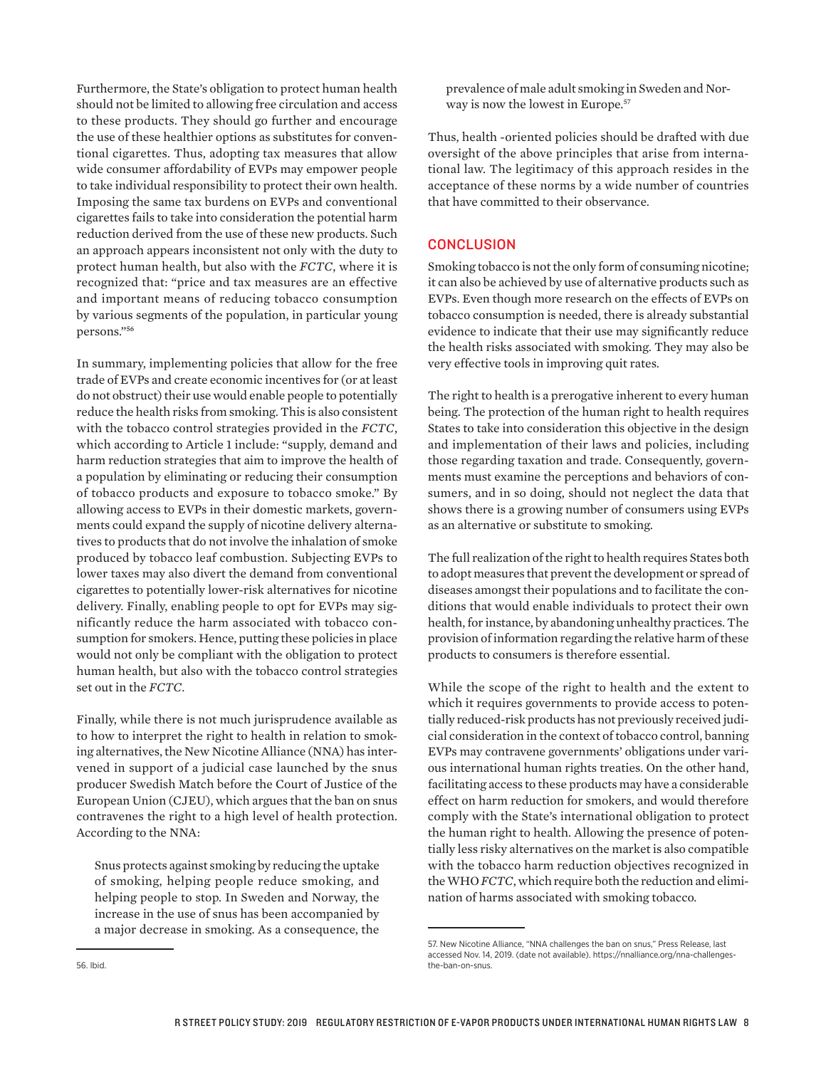Furthermore, the State's obligation to protect human health should not be limited to allowing free circulation and access to these products. They should go further and encourage the use of these healthier options as substitutes for conventional cigarettes. Thus, adopting tax measures that allow wide consumer affordability of EVPs may empower people to take individual responsibility to protect their own health. Imposing the same tax burdens on EVPs and conventional cigarettes fails to take into consideration the potential harm reduction derived from the use of these new products. Such an approach appears inconsistent not only with the duty to protect human health, but also with the *FCTC*, where it is recognized that: "price and tax measures are an effective and important means of reducing tobacco consumption by various segments of the population, in particular young persons."56

In summary, implementing policies that allow for the free trade of EVPs and create economic incentives for (or at least do not obstruct) their use would enable people to potentially reduce the health risks from smoking. This is also consistent with the tobacco control strategies provided in the *FCTC*, which according to Article 1 include: "supply, demand and harm reduction strategies that aim to improve the health of a population by eliminating or reducing their consumption of tobacco products and exposure to tobacco smoke." By allowing access to EVPs in their domestic markets, governments could expand the supply of nicotine delivery alternatives to products that do not involve the inhalation of smoke produced by tobacco leaf combustion. Subjecting EVPs to lower taxes may also divert the demand from conventional cigarettes to potentially lower-risk alternatives for nicotine delivery. Finally, enabling people to opt for EVPs may significantly reduce the harm associated with tobacco consumption for smokers. Hence, putting these policies in place would not only be compliant with the obligation to protect human health, but also with the tobacco control strategies set out in the *FCTC*.

Finally, while there is not much jurisprudence available as to how to interpret the right to health in relation to smoking alternatives, the New Nicotine Alliance (NNA) has intervened in support of a judicial case launched by the snus producer Swedish Match before the Court of Justice of the European Union (CJEU), which argues that the ban on snus contravenes the right to a high level of health protection. According to the NNA:

Snus protects against smoking by reducing the uptake of smoking, helping people reduce smoking, and helping people to stop. In Sweden and Norway, the increase in the use of snus has been accompanied by a major decrease in smoking. As a consequence, the

prevalence of male adult smoking in Sweden and Norway is now the lowest in Europe.<sup>57</sup>

Thus, health -oriented policies should be drafted with due oversight of the above principles that arise from international law. The legitimacy of this approach resides in the acceptance of these norms by a wide number of countries that have committed to their observance.

## **CONCLUSION**

Smoking tobacco is not the only form of consuming nicotine; it can also be achieved by use of alternative products such as EVPs. Even though more research on the effects of EVPs on tobacco consumption is needed, there is already substantial evidence to indicate that their use may significantly reduce the health risks associated with smoking. They may also be very effective tools in improving quit rates.

The right to health is a prerogative inherent to every human being. The protection of the human right to health requires States to take into consideration this objective in the design and implementation of their laws and policies, including those regarding taxation and trade. Consequently, governments must examine the perceptions and behaviors of consumers, and in so doing, should not neglect the data that shows there is a growing number of consumers using EVPs as an alternative or substitute to smoking.

The full realization of the right to health requires States both to adopt measures that prevent the development or spread of diseases amongst their populations and to facilitate the conditions that would enable individuals to protect their own health, for instance, by abandoning unhealthy practices. The provision of information regarding the relative harm of these products to consumers is therefore essential.

While the scope of the right to health and the extent to which it requires governments to provide access to potentially reduced-risk products has not previously received judicial consideration in the context of tobacco control, banning EVPs may contravene governments' obligations under various international human rights treaties. On the other hand, facilitating access to these products may have a considerable effect on harm reduction for smokers, and would therefore comply with the State's international obligation to protect the human right to health. Allowing the presence of potentially less risky alternatives on the market is also compatible with the tobacco harm reduction objectives recognized in the WHO *FCTC*, which require both the reduction and elimination of harms associated with smoking tobacco.

<sup>57.</sup> New Nicotine Alliance, "NNA challenges the ban on snus," Press Release, last accessed Nov. 14, 2019. (date not available). [https://nnalliance.org/nna-challenges](https://nnalliance.org/nna-challenges-the-ban-on-snus)[the-ban-on-snus.](https://nnalliance.org/nna-challenges-the-ban-on-snus)